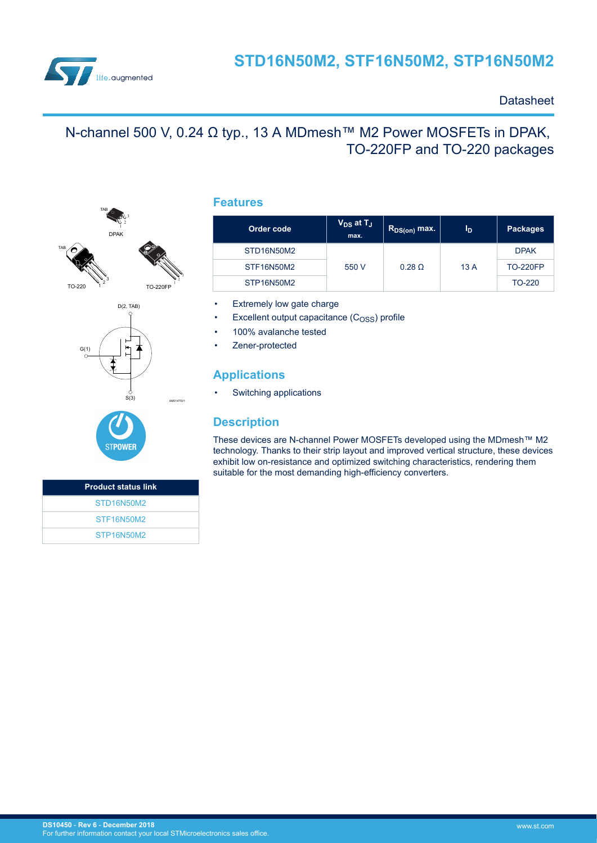

### **Datasheet**

# N-channel 500 V, 0.24 Ω typ., 13 A MDmesh<sup>™</sup> M2 Power MOSFETs in DPAK, TO-220FP and TO-220 packages







| <b>Product status link</b> |
|----------------------------|
| STD16N50M2                 |
| STF16N50M2                 |
| STP16N50M2                 |

### **Features**

| Order code | $V_{DS}$ at $T_J$<br>max. | $R_{DS(on)}$ max. | ΊD. | <b>Packages</b> |
|------------|---------------------------|-------------------|-----|-----------------|
| STD16N50M2 |                           |                   | 13A | <b>DPAK</b>     |
| STF16N50M2 | $0.28$ $\Omega$<br>550 V  |                   |     | <b>TO-220FP</b> |
| STP16N50M2 |                           |                   |     | TO-220          |

Extremely low gate charge

- Excellent output capacitance  $(C<sub>OSS</sub>)$  profile
- 100% avalanche tested
- Zener-protected

### **Applications**

Switching applications

### **Description**

These devices are N-channel Power MOSFETs developed using the MDmesh™ M2 technology. Thanks to their strip layout and improved vertical structure, these devices exhibit low on-resistance and optimized switching characteristics, rendering them suitable for the most demanding high-efficiency converters.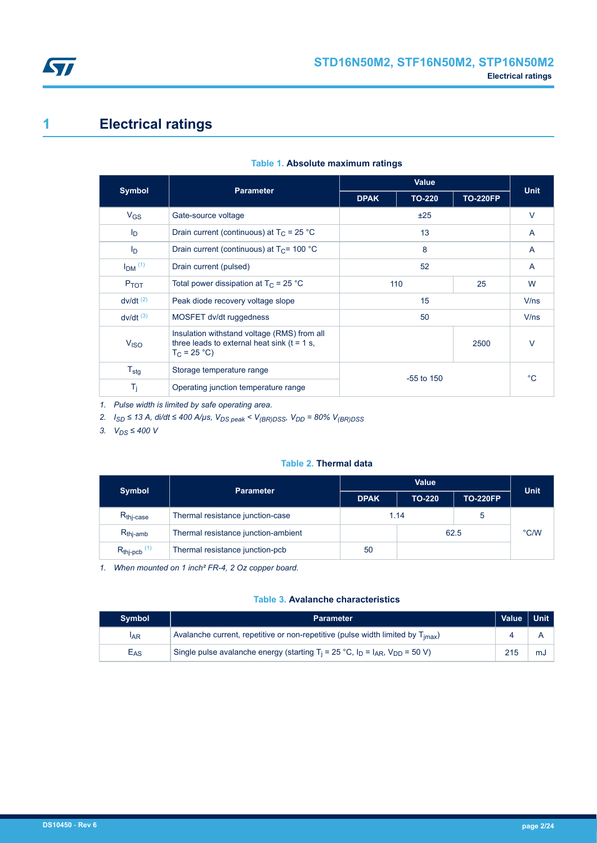<span id="page-1-0"></span>

# **1 Electrical ratings**

|                        | <b>Parameter</b>                                                                                               |              | Value         |                 | <b>Unit</b>    |
|------------------------|----------------------------------------------------------------------------------------------------------------|--------------|---------------|-----------------|----------------|
| <b>Symbol</b>          |                                                                                                                | <b>DPAK</b>  | <b>TO-220</b> | <b>TO-220FP</b> |                |
| $V_{GS}$               | Gate-source voltage                                                                                            |              | ±25           |                 | $\vee$         |
| $I_{\text{D}}$         | Drain current (continuous) at $T_C = 25 °C$                                                                    |              | 13            |                 | $\overline{A}$ |
| $I_{\text{D}}$         | Drain current (continuous) at $T_c$ = 100 °C                                                                   |              | 8             |                 | A              |
| $IDM$ <sup>(1)</sup>   | Drain current (pulsed)                                                                                         | 52           |               |                 | $\mathsf{A}$   |
| $P_{TOT}$              | Total power dissipation at $T_C = 25 °C$                                                                       | 110          |               | 25              | W              |
| $dv/dt^{(2)}$          | Peak diode recovery voltage slope                                                                              | 15           |               | V/ns            |                |
| $dv/dt$ <sup>(3)</sup> | MOSFET dv/dt ruggedness                                                                                        |              | 50            |                 | V/ns           |
| V <sub>ISO</sub>       | Insulation withstand voltage (RMS) from all<br>three leads to external heat sink ( $t = 1$ s,<br>$T_C = 25 °C$ | 2500         |               |                 | $\vee$         |
| $T_{\text{stg}}$       | Storage temperature range                                                                                      | $-55$ to 150 |               | °C.             |                |
| $T_i$                  | Operating junction temperature range                                                                           |              |               |                 |                |

#### **Table 1. Absolute maximum ratings**

*1. Pulse width is limited by safe operating area.*

*2. ISD ≤ 13 A, di/dt ≤ 400 A/µs, VDS peak < V(BR)DSS, VDD = 80% V(BR)DSS*

*3. VDS ≤ 400 V*

#### **Table 2. Thermal data**

| <b>Symbol</b>                | <b>Parameter</b>                    | Value       |               |                 | <b>Unit</b> |
|------------------------------|-------------------------------------|-------------|---------------|-----------------|-------------|
|                              |                                     | <b>DPAK</b> | <b>TO-220</b> | <b>TO-220FP</b> |             |
| $R_{\text{thi-case}}$        | Thermal resistance junction-case    | 1.14        |               |                 |             |
| $R_{thi-amb}$                | Thermal resistance junction-ambient |             |               | 62.5            | °C/W        |
| $R_{thj-pcb}$ <sup>(1)</sup> | Thermal resistance junction-pcb     | 50          |               |                 |             |

*1. When mounted on 1 inch² FR-4, 2 Oz copper board.*

#### **Table 3. Avalanche characteristics**

| <b>Symbol</b>   | <b>Parameter</b>                                                                                                           | Value   Unit |    |
|-----------------|----------------------------------------------------------------------------------------------------------------------------|--------------|----|
| <sup>I</sup> AR | Avalanche current, repetitive or non-repetitive (pulse width limited by $T_{\text{imax}}$ )                                |              |    |
| $E_{AS}$        | Single pulse avalanche energy (starting T <sub>i</sub> = 25 °C, I <sub>D</sub> = I <sub>AR</sub> , V <sub>DD</sub> = 50 V) | 215          | mJ |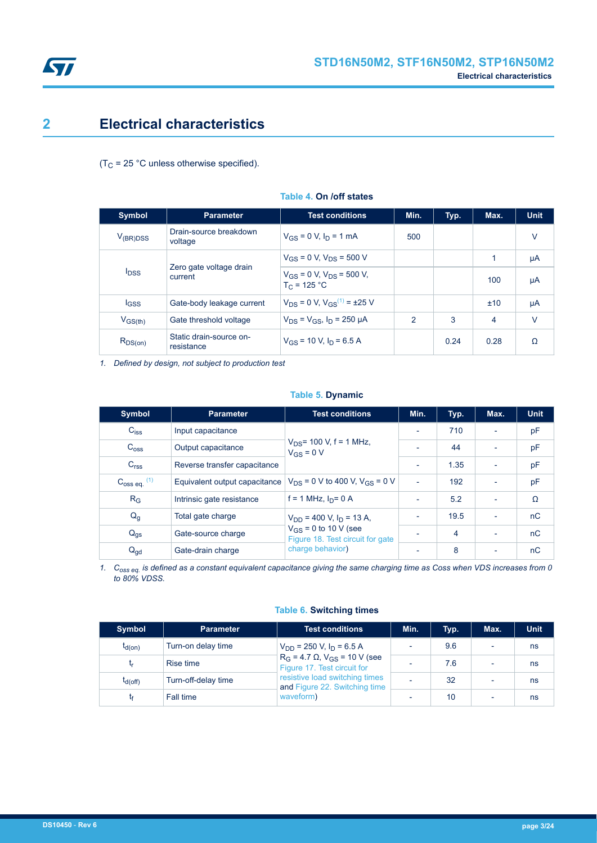<span id="page-2-0"></span>

# **2 Electrical characteristics**

( $T_C$  = 25 °C unless otherwise specified).

| <b>Symbol</b>           | <b>Parameter</b>                      | <b>Test conditions</b>                              | Min.           | Typ. | Max. | <b>Unit</b> |
|-------------------------|---------------------------------------|-----------------------------------------------------|----------------|------|------|-------------|
| $V_{(BR)DSS}$           | Drain-source breakdown<br>voltage     | $V_{GS} = 0$ V, $I_D = 1$ mA                        | 500            |      |      | $\vee$      |
|                         |                                       | $V_{GS}$ = 0 V, $V_{DS}$ = 500 V                    |                |      | 1    | μA          |
| <b>I</b> <sub>DSS</sub> | Zero gate voltage drain<br>current    | $V_{GS}$ = 0 V, $V_{DS}$ = 500 V,<br>$T_c = 125 °C$ |                |      | 100  | μA          |
| <b>IGSS</b>             | Gate-body leakage current             | $V_{DS} = 0$ V, $V_{GS}^{(1)} = \pm 25$ V           |                |      | ±10  | μA          |
| $V_{GS(th)}$            | Gate threshold voltage                | $V_{DS} = V_{GS}$ , $I_D = 250 \mu A$               | $\mathfrak{p}$ | 3    | 4    | $\vee$      |
| $R_{DS(on)}$            | Static drain-source on-<br>resistance | $V_{GS}$ = 10 V, $I_D$ = 6.5 A                      |                | 0.24 | 0.28 | Ω           |

#### **Table 4. On /off states**

*1. Defined by design, not subject to production test*

#### **Table 5. Dynamic**

| <b>Symbol</b>              | <b>Parameter</b>              | <b>Test conditions</b>                                        | Min.                     | Typ. | Max.                     | <b>Unit</b> |
|----------------------------|-------------------------------|---------------------------------------------------------------|--------------------------|------|--------------------------|-------------|
| $C_{iss}$                  | Input capacitance             |                                                               | $\overline{\phantom{a}}$ | 710  |                          | pF          |
| $C_{\text{OSS}}$           | Output capacitance            | $V_{DS}$ = 100 V, f = 1 MHz,<br>$V_{GS} = 0 V$                | $\overline{\phantom{0}}$ | 44   | $\overline{\phantom{a}}$ | pF          |
| C <sub>rss</sub>           | Reverse transfer capacitance  |                                                               | $\overline{\phantom{a}}$ | 1.35 | $\overline{\phantom{0}}$ | pF          |
| $C_{\text{oss eq.}}^{(1)}$ | Equivalent output capacitance | $V_{DS} = 0$ V to 400 V, $V_{GS} = 0$ V                       | $\sim$                   | 192  | ٠                        | pF          |
| $R_G$                      | Intrinsic gate resistance     | $f = 1$ MHz, $I_D = 0$ A                                      | ٠                        | 5.2  | $\blacksquare$           | Ω           |
| $Q_g$                      | Total gate charge             | $V_{DD}$ = 400 V, $I_D$ = 13 A,                               | ٠                        | 19.5 | $\blacksquare$           | nC          |
| $Q_{\text{qs}}$            | Gate-source charge            | $V_{GS}$ = 0 to 10 V (see<br>Figure 18. Test circuit for gate |                          | 4    | $\overline{\phantom{0}}$ | nC          |
| $Q_{\text{gd}}$            | Gate-drain charge             | charge behavior)                                              | $\overline{\phantom{0}}$ | 8    | $\overline{\phantom{0}}$ | nC          |

*1. Coss eq. is defined as a constant equivalent capacitance giving the same charging time as Coss when VDS increases from 0 to 80% VDSS.*

|  | <b>Table 6. Switching times</b> |  |
|--|---------------------------------|--|
|--|---------------------------------|--|

| <b>Symbol</b> | <b>Parameter</b>    | <b>Test conditions</b>                                                   | Min.     | Typ. | Max. | <b>Unit</b> |
|---------------|---------------------|--------------------------------------------------------------------------|----------|------|------|-------------|
| $t_{d(on)}$   | Turn-on delay time  | $V_{DD}$ = 250 V, $I_D$ = 6.5 A                                          |          | 9.6  |      | ns          |
|               | Rise time           | $R_G = 4.7 \Omega$ , $V_{GS} = 10 V$ (see<br>Figure 17. Test circuit for | -        | 7.6  |      | ns          |
| $I_{d(off)}$  | Turn-off-delay time | resistive load switching times<br>and Figure 22. Switching time          |          | 32   |      | ns          |
|               | Fall time           | waveform)                                                                | <b>.</b> | 10   |      | ns          |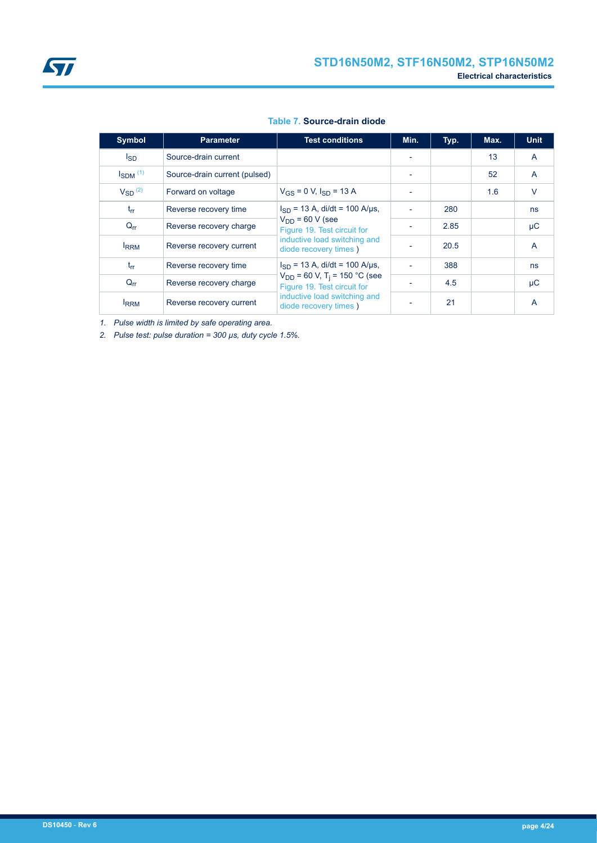#### **Table 7. Source-drain diode**

| Symbol                   | <b>Parameter</b>              | <b>Test conditions</b>                                                       | Min.                     | Typ. | Max. | <b>Unit</b>    |
|--------------------------|-------------------------------|------------------------------------------------------------------------------|--------------------------|------|------|----------------|
| lsp                      | Source-drain current          |                                                                              |                          |      | 13   | $\mathsf{A}$   |
| $I_{SDM}$ <sup>(1)</sup> | Source-drain current (pulsed) |                                                                              |                          |      | 52   | A              |
| $V_{SD}$ <sup>(2)</sup>  | Forward on voltage            | $V_{GS}$ = 0 V, $I_{SD}$ = 13 A                                              |                          |      | 1.6  | $\vee$         |
| $t_{rr}$                 | Reverse recovery time         | $I_{SD}$ = 13 A, di/dt = 100 A/µs,                                           |                          | 280  |      | <b>ns</b>      |
| $Q_{rr}$                 | Reverse recovery charge       | $V_{DD}$ = 60 V (see<br>Figure 19. Test circuit for                          |                          | 2.85 |      | $\mu$ C        |
| <b>RRM</b>               | Reverse recovery current      | inductive load switching and<br>diode recovery times)                        |                          | 20.5 |      | $\overline{A}$ |
| $t_{rr}$                 | Reverse recovery time         | $I_{SD}$ = 13 A, di/dt = 100 A/µs,                                           | $\overline{\phantom{a}}$ | 388  |      | <b>ns</b>      |
| $Q_{rr}$                 | Reverse recovery charge       | $V_{DD}$ = 60 V, T <sub>i</sub> = 150 °C (see<br>Figure 19. Test circuit for |                          | 4.5  |      | $\mu$ C        |
| <b>IRRM</b>              | Reverse recovery current      | inductive load switching and<br>diode recovery times)                        |                          | 21   |      | A              |

*1. Pulse width is limited by safe operating area.*

*2. Pulse test: pulse duration = 300 µs, duty cycle 1.5%.*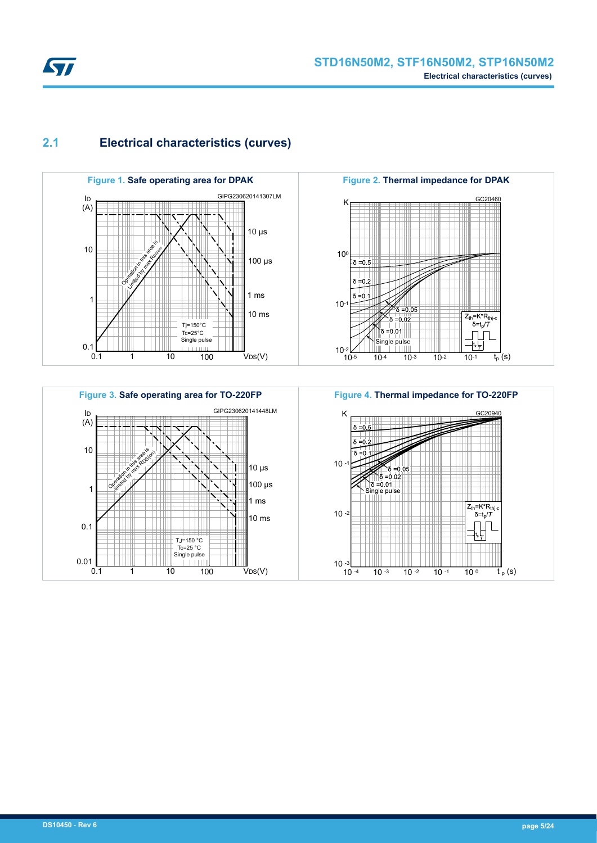## <span id="page-4-0"></span>**2.1 Electrical characteristics (curves)**







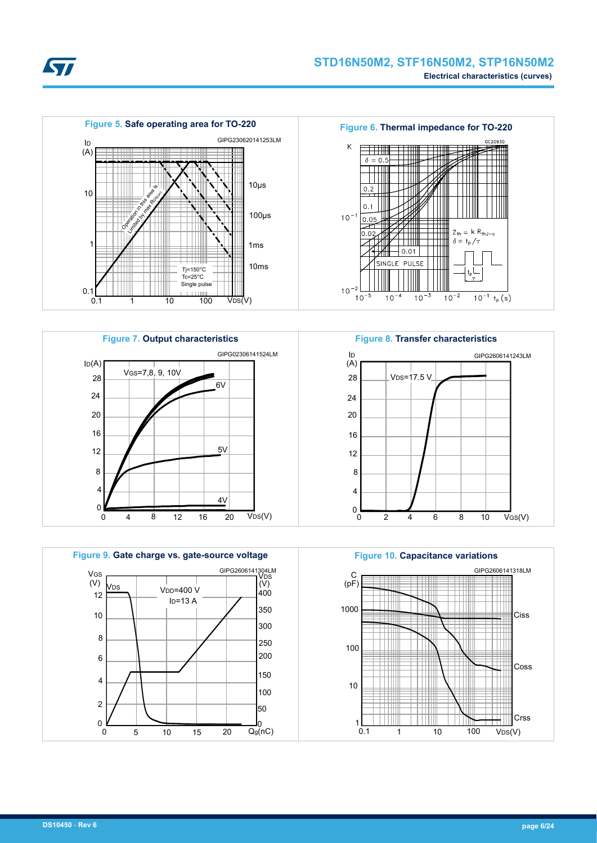











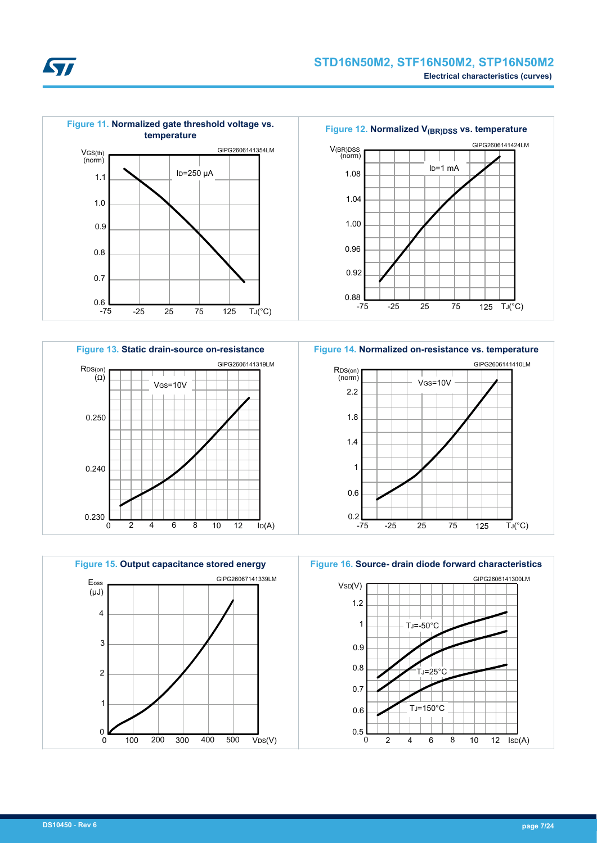



**Figure 13. Static drain-source on-resistance** RDS(on) 0.230 0 2 4 6 8 10 12 lp(A) (Ω) 0.240 VGS=10V 4 0.250 6 8 10 12 GIPG2606141319LM







**Figure 14. Normalized on-resistance vs. temperature**

**Kyr**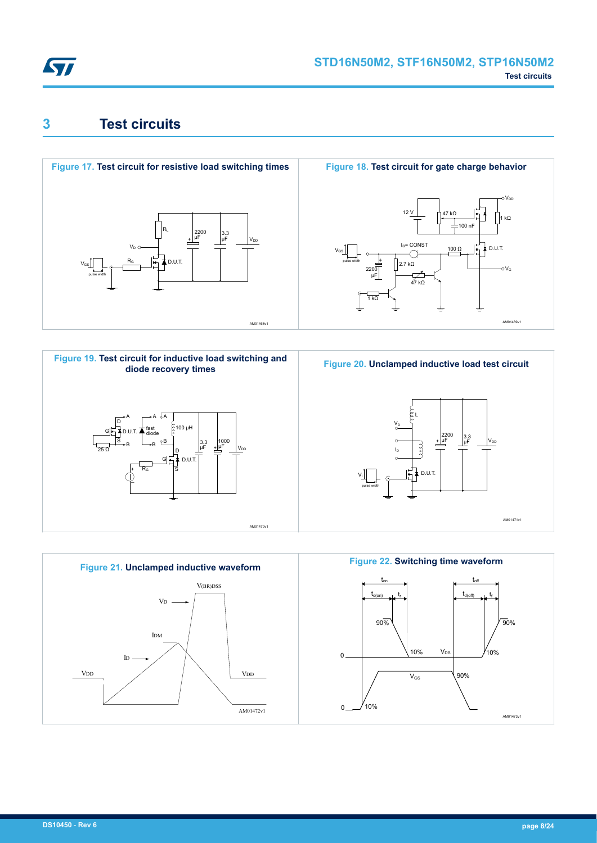<span id="page-7-0"></span>

# **3 Test circuits**











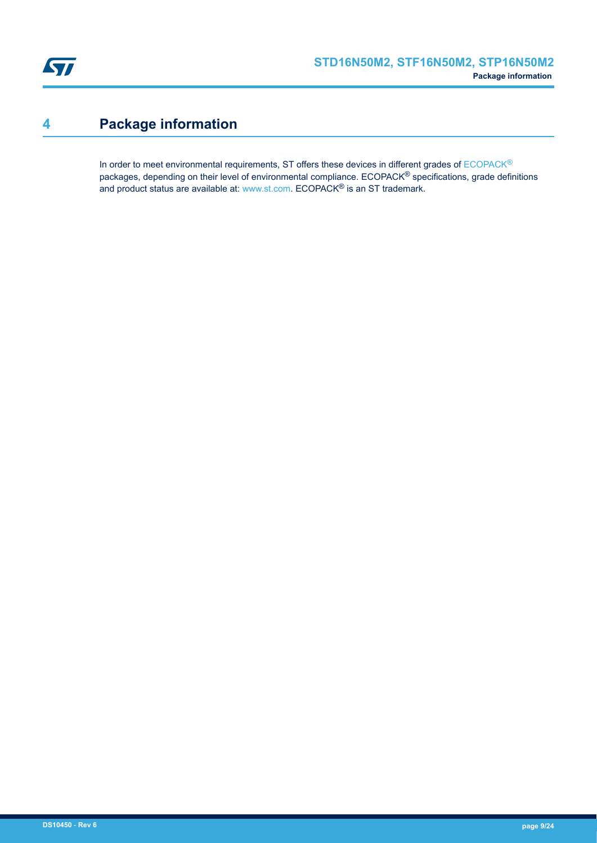<span id="page-8-0"></span>

# **4 Package information**

In order to meet environmental requirements, ST offers these devices in different grades of [ECOPACK](https://www.st.com/ecopack)® packages, depending on their level of environmental compliance. ECOPACK® specifications, grade definitions and product status are available at: [www.st.com.](http://www.st.com) ECOPACK® is an ST trademark.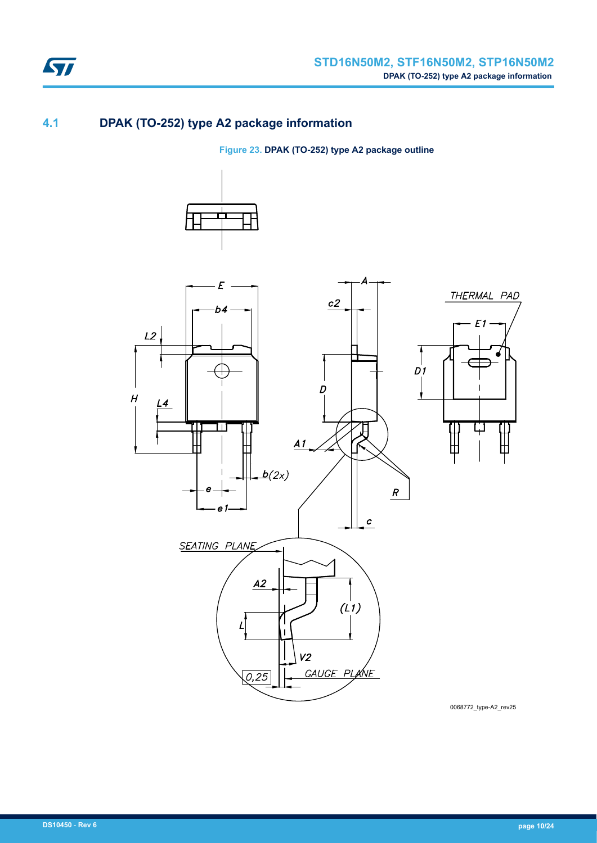

## **4.1 DPAK (TO-252) type A2 package information**

**Figure 23. DPAK (TO-252) type A2 package outline**





0068772\_type-A2\_rev25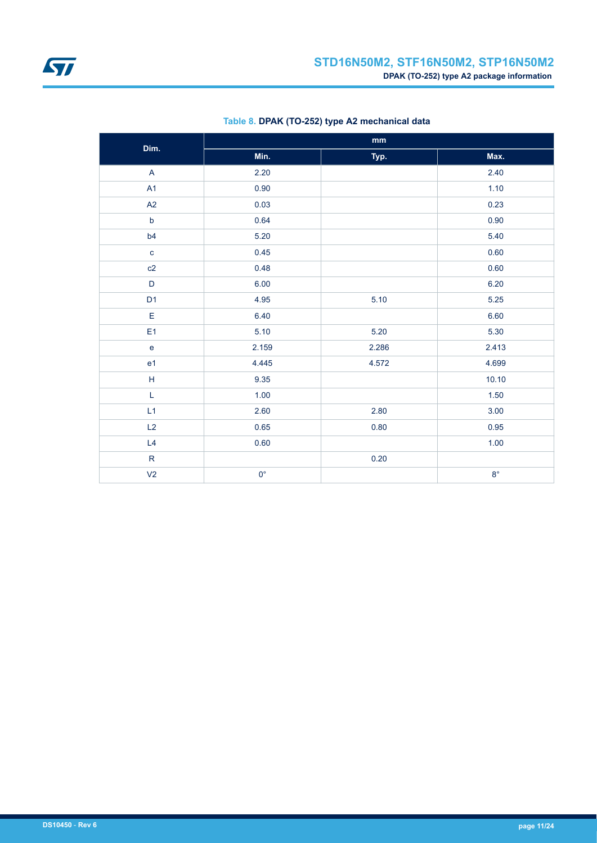<span id="page-10-0"></span>

| Dim.           | $\mathop{\text{mm}}\nolimits$ |       |             |  |  |  |
|----------------|-------------------------------|-------|-------------|--|--|--|
|                | Min.                          | Typ.  | Max.        |  |  |  |
| $\overline{A}$ | 2.20                          |       | 2.40        |  |  |  |
| A1             | 0.90                          |       | 1.10        |  |  |  |
| A2             | 0.03                          |       | 0.23        |  |  |  |
| $\mathsf b$    | 0.64                          |       | 0.90        |  |  |  |
| b4             | 5.20                          |       | 5.40        |  |  |  |
| $\mathbf{C}$   | 0.45                          |       | 0.60        |  |  |  |
| c2             | 0.48                          |       | 0.60        |  |  |  |
| $\mathsf D$    | 6.00                          |       | 6.20        |  |  |  |
| D <sub>1</sub> | 4.95                          | 5.10  | 5.25        |  |  |  |
| $\mathsf E$    | 6.40                          |       | 6.60        |  |  |  |
| E <sub>1</sub> | 5.10                          | 5.20  | 5.30        |  |  |  |
| $\mathbf e$    | 2.159                         | 2.286 | 2.413       |  |  |  |
| e <sub>1</sub> | 4.445                         | 4.572 | 4.699       |  |  |  |
| $\mathsf H$    | 9.35                          |       | 10.10       |  |  |  |
| L              | 1.00                          |       | 1.50        |  |  |  |
| L1             | 2.60                          | 2.80  | 3.00        |  |  |  |
| L2             | 0.65                          | 0.80  | 0.95        |  |  |  |
| L4             | 0.60                          |       | 1.00        |  |  |  |
| ${\sf R}$      |                               | 0.20  |             |  |  |  |
| V <sub>2</sub> | $0^{\circ}$                   |       | $8^{\circ}$ |  |  |  |

### **Table 8. DPAK (TO-252) type A2 mechanical data**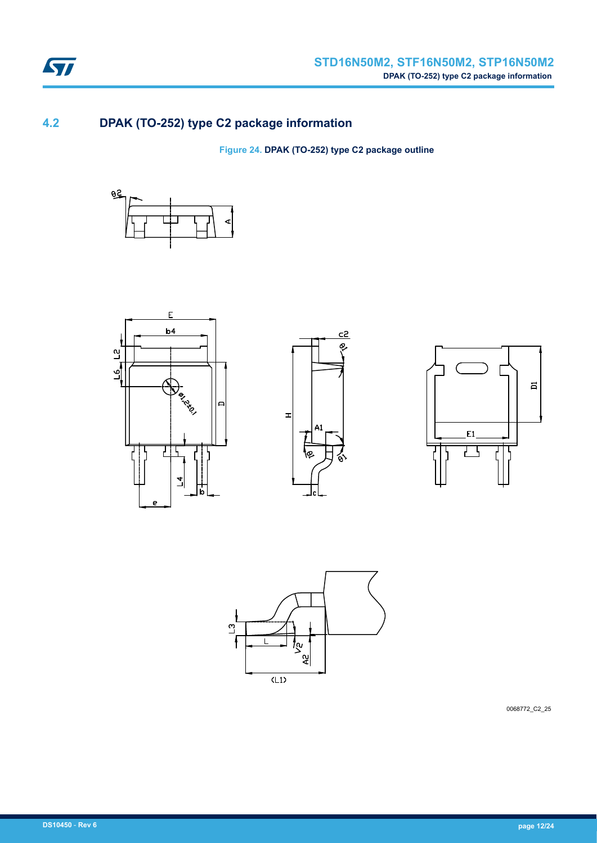

## **4.2 DPAK (TO-252) type C2 package information**

**Figure 24. DPAK (TO-252) type C2 package outline**











0068772\_C2\_25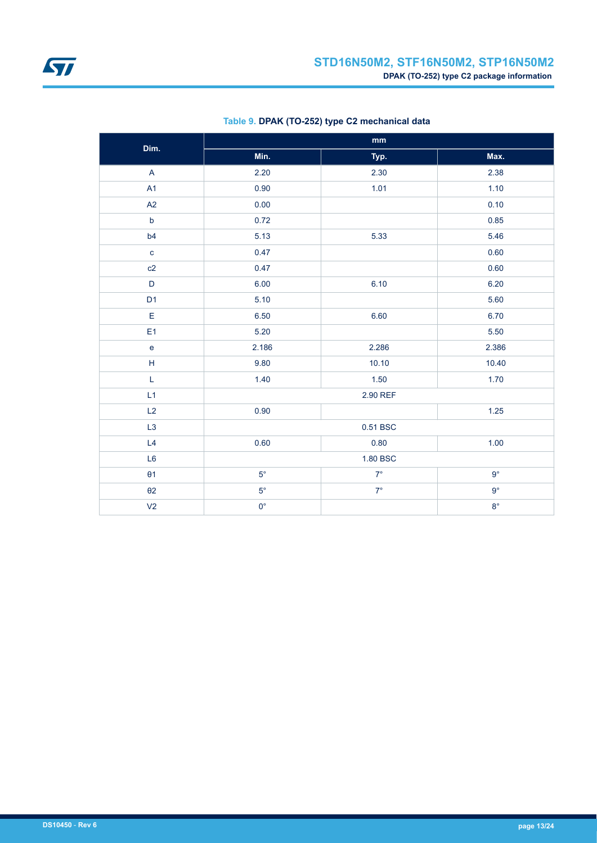| Dim.                                                        | mm          |           |             |  |  |
|-------------------------------------------------------------|-------------|-----------|-------------|--|--|
|                                                             | Min.        | Typ.      | Max.        |  |  |
| $\overline{\mathsf{A}}$                                     | 2.20        | 2.30      | 2.38        |  |  |
| A1                                                          | 0.90        | 1.01      | 1.10        |  |  |
| A2                                                          | 0.00        |           | 0.10        |  |  |
| $\mathsf b$                                                 | 0.72        |           | 0.85        |  |  |
| b4                                                          | 5.13        | 5.33      | 5.46        |  |  |
| $\mathbf c$                                                 | 0.47        |           | 0.60        |  |  |
| c2                                                          | 0.47        |           | 0.60        |  |  |
| $\mathsf D$                                                 | 6.00        | 6.10      | 6.20        |  |  |
| D <sub>1</sub>                                              | 5.10        |           | 5.60        |  |  |
| E                                                           | 6.50        | 6.60      | 6.70        |  |  |
| E <sub>1</sub>                                              | 5.20        |           | 5.50        |  |  |
| $\mathsf{e}% _{t}\left( t\right)$                           | 2.186       | 2.286     | 2.386       |  |  |
| $\mathsf{H}% _{\mathbb{R}}^{1}\left( \mathbb{R}^{2}\right)$ | 9.80        | 10.10     | 10.40       |  |  |
| L                                                           | 1.40        | 1.50      | 1.70        |  |  |
| L1                                                          |             | 2.90 REF  |             |  |  |
| L2                                                          | 0.90        |           | $1.25$      |  |  |
| L3                                                          |             | 0.51 BSC  |             |  |  |
| L4                                                          | 0.60        | 0.80      | 1.00        |  |  |
| L <sub>6</sub>                                              |             | 1.80 BSC  |             |  |  |
| $\theta$ 1                                                  | $5^{\circ}$ | $7^\circ$ | $9^{\circ}$ |  |  |
| $\theta$ 2                                                  | $5^{\circ}$ | $7^\circ$ | $9^{\circ}$ |  |  |
| V <sub>2</sub>                                              | $0^{\circ}$ |           | $8^{\circ}$ |  |  |

### **Table 9. DPAK (TO-252) type C2 mechanical data**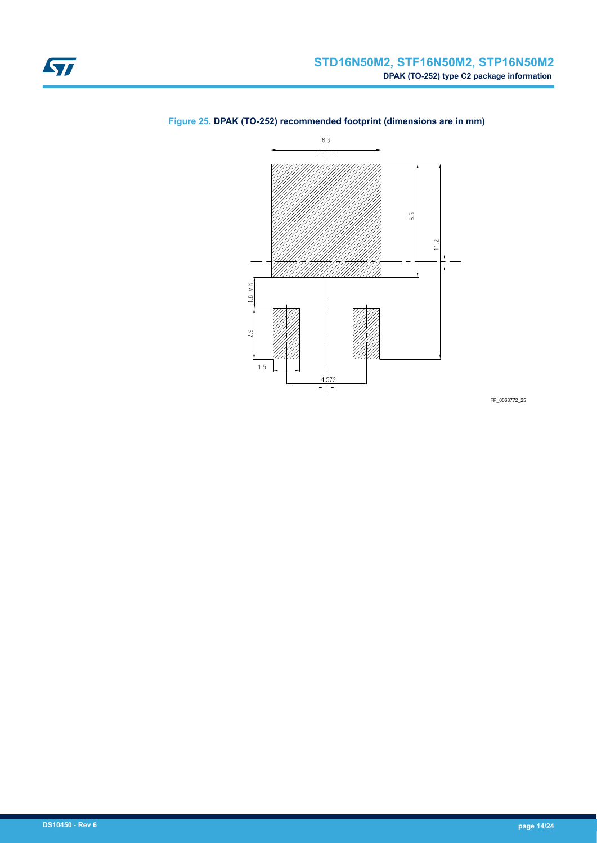

### <span id="page-13-0"></span>**Figure 25. DPAK (TO-252) recommended footprint (dimensions are in mm)**

FP\_0068772\_25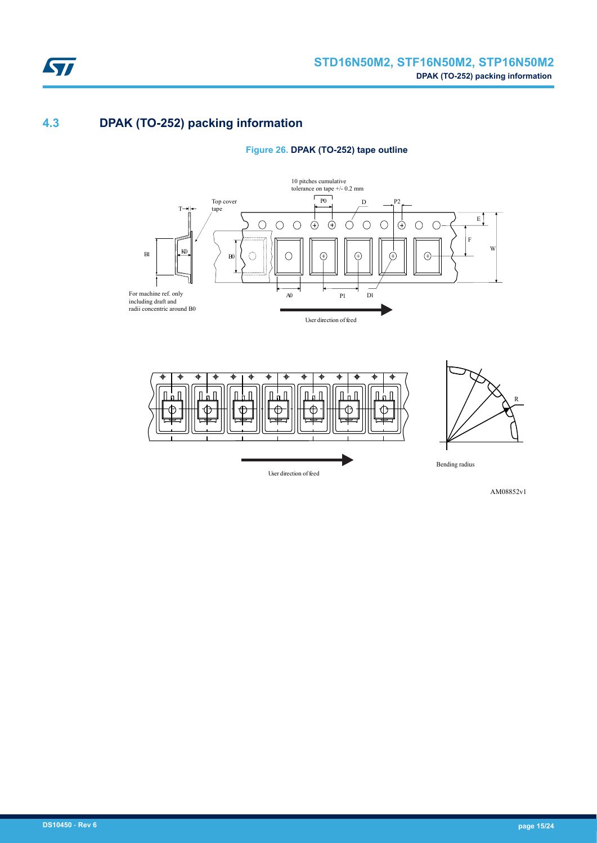

## **4.3 DPAK (TO-252) packing information**

#### **Figure 26. DPAK (TO-252) tape outline**





AM08852v1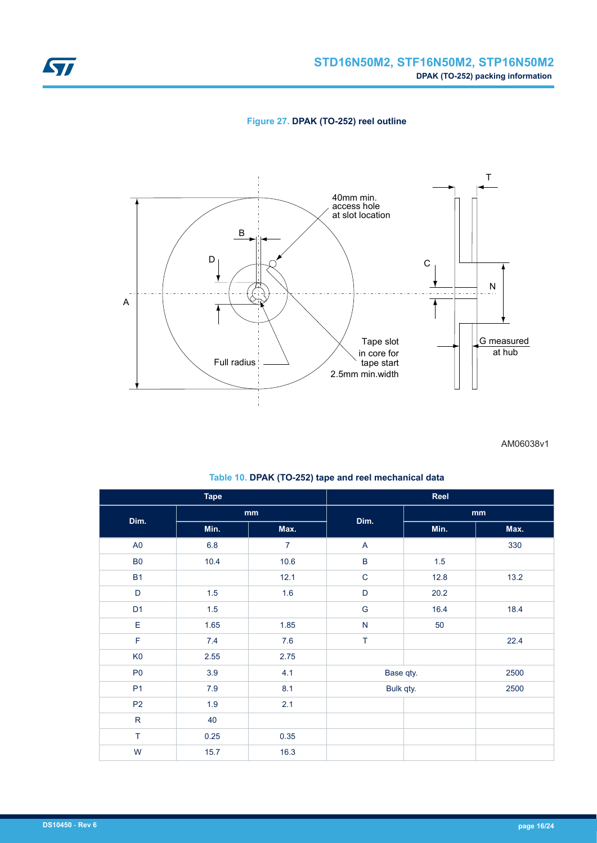**Figure 27. DPAK (TO-252) reel outline**

<span id="page-15-0"></span>

AM06038v1

| <b>Tape</b>    |         | Reel           |               |      |      |  |
|----------------|---------|----------------|---------------|------|------|--|
| Dim.           | mm      |                |               |      | mm   |  |
|                | Min.    | Max.           | Dim.          | Min. | Max. |  |
| A <sub>0</sub> | 6.8     | $\overline{7}$ | $\mathsf{A}$  |      | 330  |  |
| ${\sf B0}$     | 10.4    | 10.6           | $\sf B$       | 1.5  |      |  |
| <b>B1</b>      |         | 12.1           | $\mathbf C$   | 12.8 | 13.2 |  |
| D              | 1.5     | 1.6            | $\mathsf D$   | 20.2 |      |  |
| D <sub>1</sub> | $1.5\,$ |                | ${\mathsf G}$ | 16.4 | 18.4 |  |
| E              | 1.65    | 1.85           | ${\sf N}$     | 50   |      |  |
| $\mathsf F$    | 7.4     | 7.6            | T             |      | 22.4 |  |
| K <sub>0</sub> | 2.55    | 2.75           |               |      |      |  |
| P <sub>0</sub> | 3.9     | 4.1            | Base qty.     |      | 2500 |  |
| P <sub>1</sub> | $7.9$   | 8.1            | Bulk qty.     |      | 2500 |  |
| P <sub>2</sub> | 1.9     | 2.1            |               |      |      |  |
| ${\sf R}$      | 40      |                |               |      |      |  |
| $\top$         | 0.25    | 0.35           |               |      |      |  |
| W              | 15.7    | 16.3           |               |      |      |  |

### **Table 10. DPAK (TO-252) tape and reel mechanical data**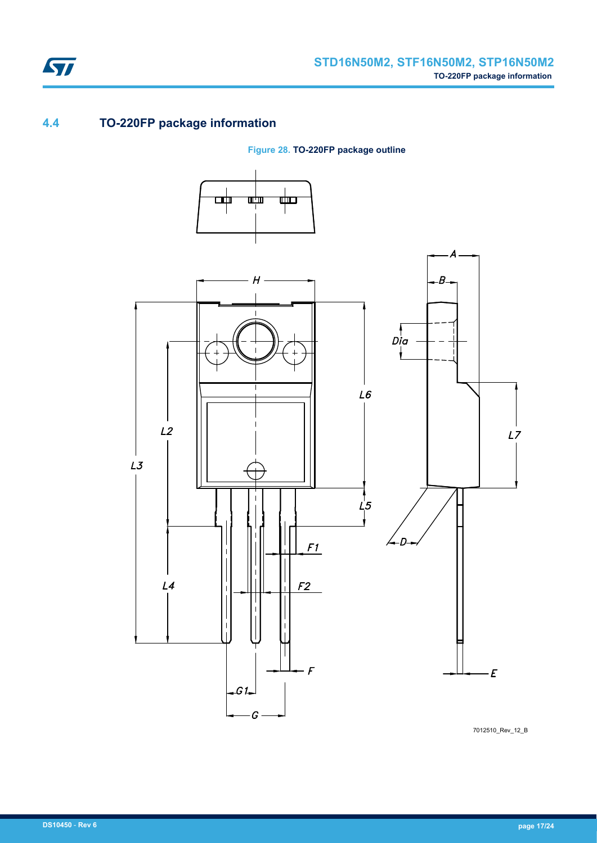

## **4.4 TO-220FP package information**

ST

**Figure 28. TO-220FP package outline**



7012510\_Rev\_12\_B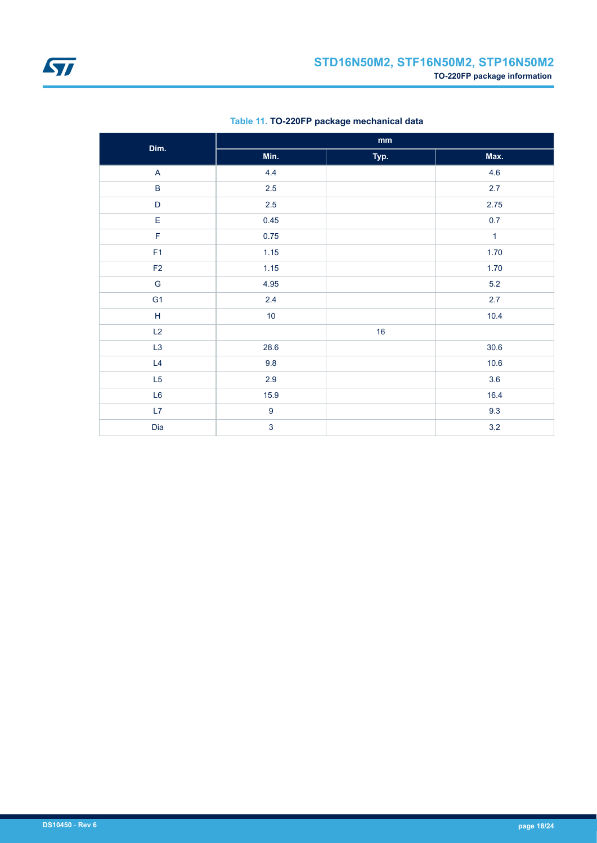<span id="page-17-0"></span>

| Dim.                      | $\mathop{\bf mm}\nolimits$ |      |              |  |
|---------------------------|----------------------------|------|--------------|--|
|                           | Min.                       | Typ. | Max.         |  |
| $\boldsymbol{\mathsf{A}}$ | 4.4                        |      | 4.6          |  |
| $\sf B$                   | $2.5\,$                    |      | 2.7          |  |
| $\mathsf D$               | 2.5                        |      | 2.75         |  |
| E                         | 0.45                       |      | 0.7          |  |
| F                         | 0.75                       |      | $\mathbf{1}$ |  |
| F <sub>1</sub>            | 1.15                       |      | 1.70         |  |
| F2                        | 1.15                       |      | 1.70         |  |
| G                         | 4.95                       |      | $5.2\,$      |  |
| G <sub>1</sub>            | $2.4\,$                    |      | 2.7          |  |
| $\mathsf H$               | 10                         |      | 10.4         |  |
| L2                        |                            | 16   |              |  |
| L <sub>3</sub>            | 28.6                       |      | $30.6$       |  |
| L4                        | 9.8                        |      | $10.6$       |  |
| L5                        | $2.9\,$                    |      | 3.6          |  |
| L6                        | 15.9                       |      | 16.4         |  |
| L7                        | $\boldsymbol{9}$           |      | 9.3          |  |
| Dia                       | $\overline{3}$             |      | $3.2\,$      |  |

### **Table 11. TO-220FP package mechanical data**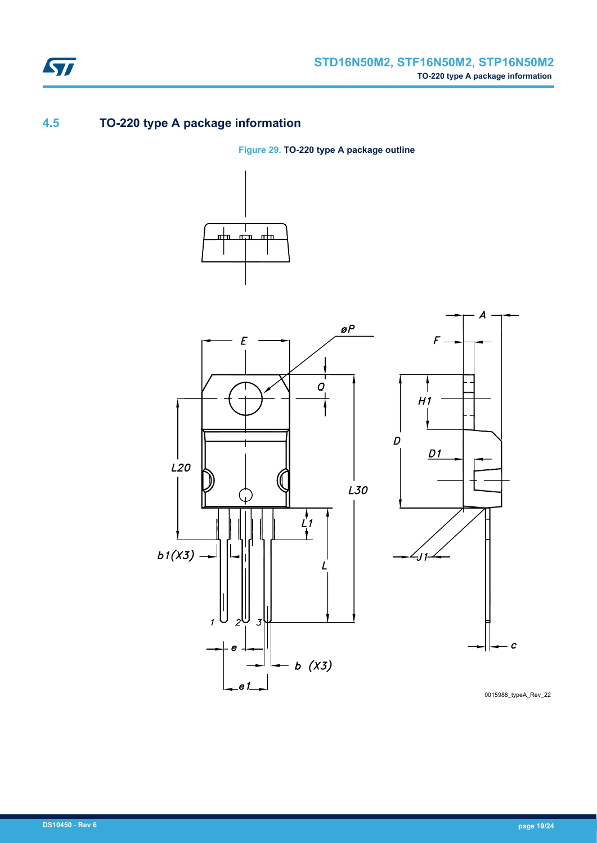

## **4.5 TO-220 type A package information**

**Figure 29. TO-220 type A package outline**





0015988\_typeA\_Rev\_22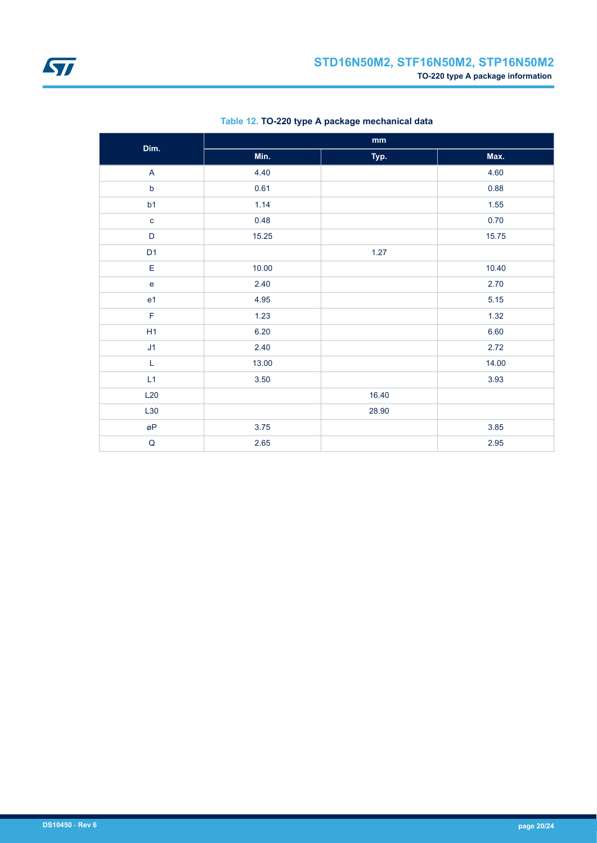| Dim.           | $\mathbf{mm}$ |       |       |  |
|----------------|---------------|-------|-------|--|
|                | Min.          | Typ.  | Max.  |  |
| $\mathsf{A}$   | 4.40          |       | 4.60  |  |
| $\mathsf b$    | 0.61          |       | 0.88  |  |
| b1             | 1.14          |       | 1.55  |  |
| $\mathbf c$    | 0.48          |       | 0.70  |  |
| $\mathsf D$    | 15.25         |       | 15.75 |  |
| D <sub>1</sub> |               | 1.27  |       |  |
| E              | 10.00         |       | 10.40 |  |
| $\mathbf e$    | 2.40          |       | 2.70  |  |
| e <sub>1</sub> | 4.95          |       | 5.15  |  |
| $\mathsf F$    | 1.23          |       | 1.32  |  |
| H1             | 6.20          |       | 6.60  |  |
| J1             | 2.40          |       | 2.72  |  |
| $\mathsf L$    | 13.00         |       | 14.00 |  |
| L1             | 3.50          |       | 3.93  |  |
| L20            |               | 16.40 |       |  |
| L30            |               | 28.90 |       |  |
| øΡ             | $3.75$        |       | 3.85  |  |
| $\sf Q$        | 2.65          |       | 2.95  |  |

### **Table 12. TO-220 type A package mechanical data**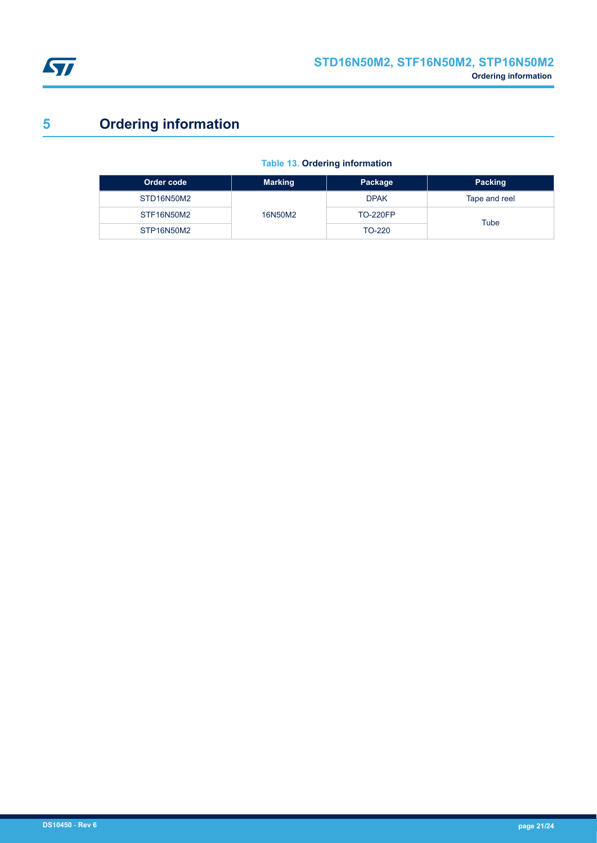<span id="page-20-0"></span>

# **5 Ordering information**

### **Table 13. Ordering information**

| Order code | <b>Marking</b> | Package         | Packing       |
|------------|----------------|-----------------|---------------|
| STD16N50M2 | 16N50M2        | <b>DPAK</b>     | Tape and reel |
| STF16N50M2 |                | <b>TO-220FP</b> | Tube          |
| STP16N50M2 |                | TO-220          |               |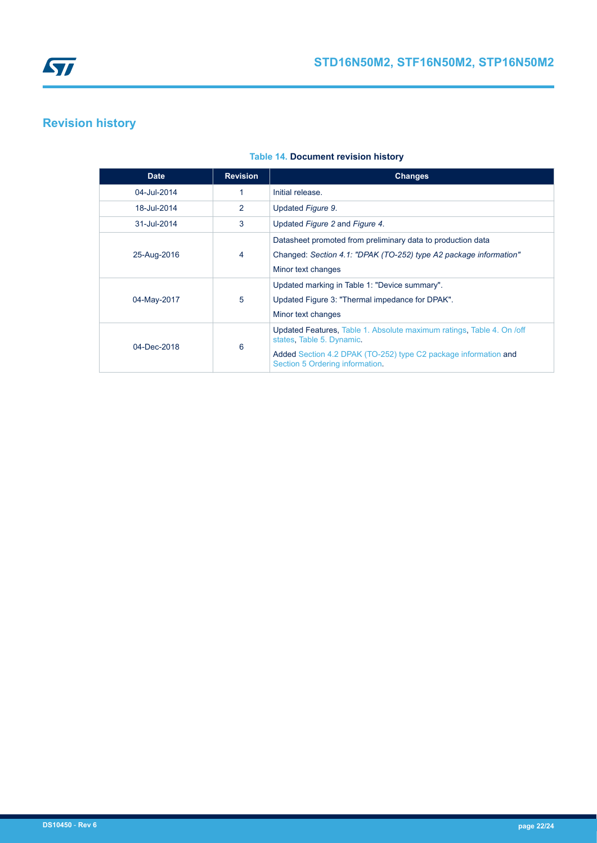# <span id="page-21-0"></span>**Revision history**

| <b>Date</b> | <b>Revision</b> | <b>Changes</b>                                                                                     |
|-------------|-----------------|----------------------------------------------------------------------------------------------------|
| 04-Jul-2014 |                 | Initial release.                                                                                   |
| 18-Jul-2014 | 2               | Updated Figure 9.                                                                                  |
| 31-Jul-2014 | 3               | Updated Figure 2 and Figure 4.                                                                     |
|             | 4               | Datasheet promoted from preliminary data to production data                                        |
| 25-Aug-2016 |                 | Changed: Section 4.1: "DPAK (TO-252) type A2 package information"                                  |
|             |                 | Minor text changes                                                                                 |
|             | 5               | Updated marking in Table 1: "Device summary".                                                      |
| 04-May-2017 |                 | Updated Figure 3: "Thermal impedance for DPAK".                                                    |
|             |                 | Minor text changes                                                                                 |
| 04-Dec-2018 | 6               | Updated Features, Table 1. Absolute maximum ratings, Table 4. On /off<br>states, Table 5. Dynamic. |
|             |                 | Added Section 4.2 DPAK (TO-252) type C2 package information and<br>Section 5 Ordering information. |

#### **Table 14. Document revision history**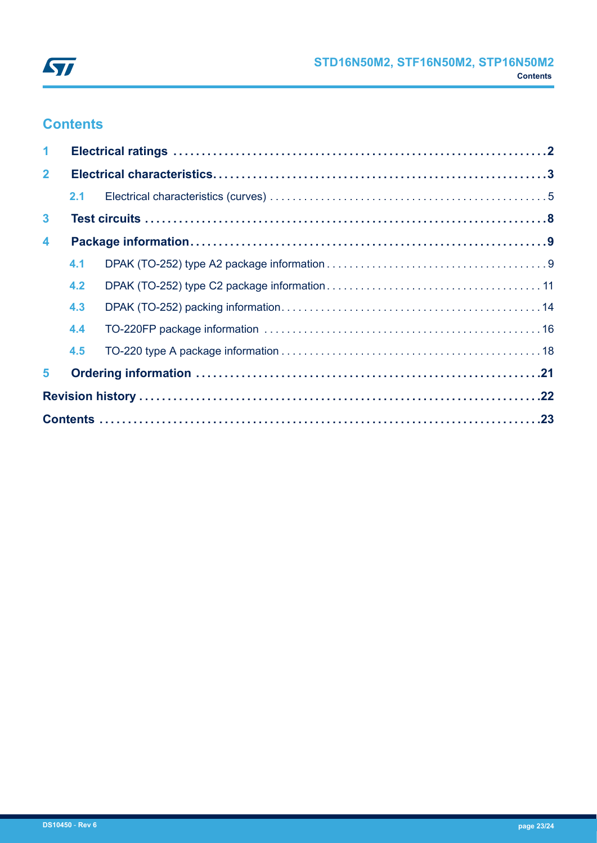

# **Contents**

| $\blacktriangleleft$    |     |  |  |
|-------------------------|-----|--|--|
| $\overline{2}$          |     |  |  |
|                         | 2.1 |  |  |
| $\mathbf{3}$            |     |  |  |
| $\overline{\mathbf{4}}$ |     |  |  |
|                         | 4.1 |  |  |
|                         | 4.2 |  |  |
|                         | 4.3 |  |  |
|                         | 4.4 |  |  |
|                         | 4.5 |  |  |
| 5                       |     |  |  |
|                         |     |  |  |
|                         |     |  |  |